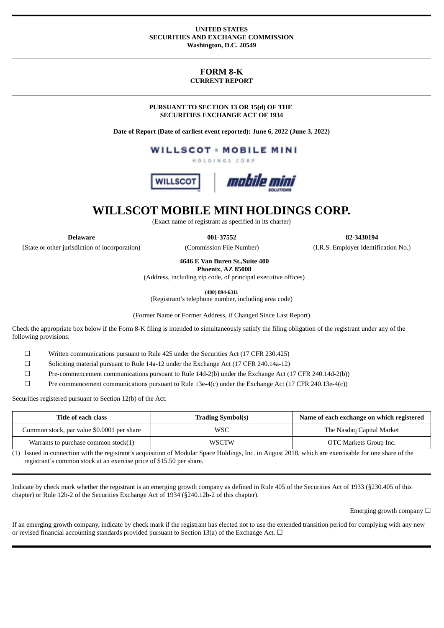### **UNITED STATES SECURITIES AND EXCHANGE COMMISSION Washington, D.C. 20549**

# **FORM 8-K CURRENT REPORT**

**PURSUANT TO SECTION 13 OR 15(d) OF THE SECURITIES EXCHANGE ACT OF 1934**

**Date of Report (Date of earliest event reported): June 6, 2022 (June 3, 2022)**

**WILLSCOT - MOBILE MINI** 

HOLDINGS CORP



**WILLSCOT MOBILE MINI HOLDINGS CORP.**

(Exact name of registrant as specified in its charter)

(State or other jurisdiction of incorporation) (Commission File Number) (I.R.S. Employer Identification No.)

**Delaware 001-37552 82-3430194**

**4646 E Van Buren St.,Suite 400**

**Phoenix, AZ 85008**

(Address, including zip code, of principal executive offices)

**(480) 894-6311**

(Registrant's telephone number, including area code)

(Former Name or Former Address, if Changed Since Last Report)

Check the appropriate box below if the Form 8-K filing is intended to simultaneously satisfy the filing obligation of the registrant under any of the following provisions:

☐ Written communications pursuant to Rule 425 under the Securities Act (17 CFR 230.425)

☐ Soliciting material pursuant to Rule 14a-12 under the Exchange Act (17 CFR 240.14a-12)

☐ Pre-commencement communications pursuant to Rule 14d-2(b) under the Exchange Act (17 CFR 240.14d-2(b))

 $\Box$  Pre commencement communications pursuant to Rule 13e-4(c) under the Exchange Act (17 CFR 240.13e-4(c))

Securities registered pursuant to Section 12(b) of the Act:

| Title of each class                        | <b>Trading Symbol(s)</b> | Name of each exchange on which registered |
|--------------------------------------------|--------------------------|-------------------------------------------|
| Common stock, par value \$0.0001 per share | WSC                      | The Nasdaq Capital Market                 |
| Warrants to purchase common stock $(1)$    | <b>WSCTW</b>             | OTC Markets Group Inc.                    |

(1) Issued in connection with the registrant's acquisition of Modular Space Holdings, Inc. in August 2018, which are exercisable for one share of the registrant's common stock at an exercise price of \$15.50 per share.

Indicate by check mark whether the registrant is an emerging growth company as defined in Rule 405 of the Securities Act of 1933 (§230.405 of this chapter) or Rule 12b-2 of the Securities Exchange Act of 1934 (§240.12b-2 of this chapter).

Emerging growth company  $\Box$ 

If an emerging growth company, indicate by check mark if the registrant has elected not to use the extended transition period for complying with any new or revised financial accounting standards provided pursuant to Section 13(a) of the Exchange Act.  $\Box$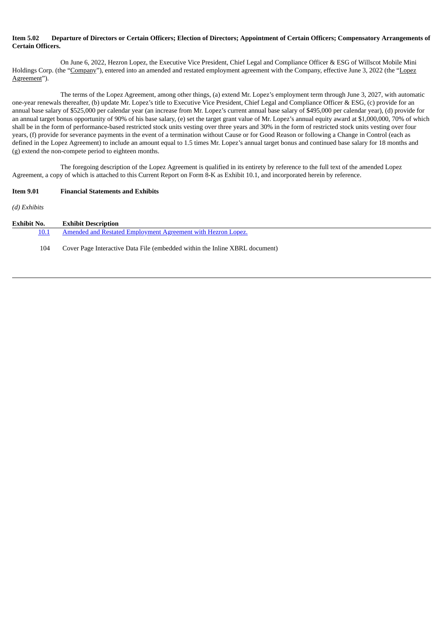# Item 5.02 Departure of Directors or Certain Officers: Election of Directors: Appointment of Certain Officers: Compensatory Arrangements of **Certain Officers.**

On June 6, 2022, Hezron Lopez, the Executive Vice President, Chief Legal and Compliance Officer & ESG of Willscot Mobile Mini Holdings Corp. (the "Company"), entered into an amended and restated employment agreement with the Company, effective June 3, 2022 (the "Lopez Agreement").

The terms of the Lopez Agreement, among other things, (a) extend Mr. Lopez's employment term through June 3, 2027, with automatic one-year renewals thereafter, (b) update Mr. Lopez's title to Executive Vice President, Chief Legal and Compliance Officer & ESG, (c) provide for an annual base salary of \$525,000 per calendar year (an increase from Mr. Lopez's current annual base salary of \$495,000 per calendar year), (d) provide for an annual target bonus opportunity of 90% of his base salary, (e) set the target grant value of Mr. Lopez's annual equity award at \$1,000,000, 70% of which shall be in the form of performance-based restricted stock units vesting over three years and 30% in the form of restricted stock units vesting over four years, (f) provide for severance payments in the event of a termination without Cause or for Good Reason or following a Change in Control (each as defined in the Lopez Agreement) to include an amount equal to 1.5 times Mr. Lopez's annual target bonus and continued base salary for 18 months and (g) extend the non-compete period to eighteen months.

The foregoing description of the Lopez Agreement is qualified in its entirety by reference to the full text of the amended Lopez Agreement, a copy of which is attached to this Current Report on Form 8-K as Exhibit 10.1, and incorporated herein by reference.

# **Item 9.01 Financial Statements and Exhibits**

*(d) Exhibits*

| Exhibit No. | <b>Exhibit Description</b>                                                  |
|-------------|-----------------------------------------------------------------------------|
| 10.1        | Amended and Restated Employment Agreement with Hezron Lopez.                |
| 104         | Cover Page Interactive Data File (embedded within the Inline XBRL document) |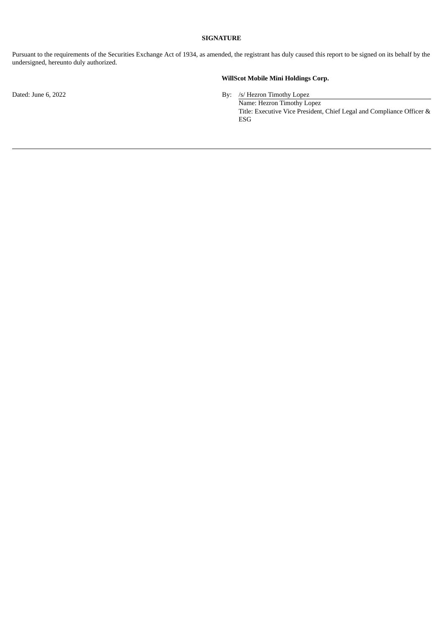## **SIGNATURE**

Pursuant to the requirements of the Securities Exchange Act of 1934, as amended, the registrant has duly caused this report to be signed on its behalf by the undersigned, hereunto duly authorized.

# **WillScot Mobile Mini Holdings Corp.**

Dated: June 6, 2022 By: /s/ Hezron Timothy Lopez

Name: Hezron Timothy Lopez Title: Executive Vice President, Chief Legal and Compliance Officer & ESG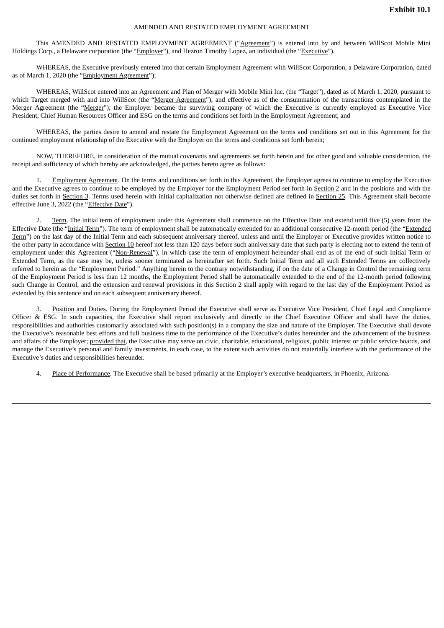#### AMENDED AND RESTATED EMPLOYMENT AGREEMENT

<span id="page-3-0"></span>This AMENDED AND RESTATED EMPLOYMENT AGREEMENT ("Agreement") is entered into by and between WillScot Mobile Mini Holdings Corp., a Delaware corporation (the "Employer"), and Hezron Timothy Lopez, an individual (the "Executive").

WHEREAS, the Executive previously entered into that certain Employment Agreement with WillScot Corporation, a Delaware Corporation, dated as of March 1, 2020 (the "Employment Agreement");

WHEREAS, WillScot entered into an Agreement and Plan of Merger with Mobile Mini Inc. (the "Target"), dated as of March 1, 2020, pursuant to which Target merged with and into WillScot (the "Merger Agreement"), and effective as of the consummation of the transactions contemplated in the Merger Agreement (the "Merger"), the Employer became the surviving company of which the Executive is currently employed as Executive Vice President, Chief Human Resources Officer and ESG on the terms and conditions set forth in the Employment Agreement; and

WHEREAS, the parties desire to amend and restate the Employment Agreement on the terms and conditions set out in this Agreement for the continued employment relationship of the Executive with the Employer on the terms and conditions set forth herein;

NOW, THEREFORE, in consideration of the mutual covenants and agreements set forth herein and for other good and valuable consideration, the receipt and sufficiency of which hereby are acknowledged, the parties hereto agree as follows:

1. Employment Agreement. On the terms and conditions set forth in this Agreement, the Employer agrees to continue to employ the Executive and the Executive agrees to continue to be employed by the Employer for the Employment Period set forth in Section 2 and in the positions and with the duties set forth in Section 3. Terms used herein with initial capitalization not otherwise defined are defined in Section 25. This Agreement shall become effective June 3, 2022 (the "Effective Date").

2. Term. The initial term of employment under this Agreement shall commence on the Effective Date and extend until five (5) years from the Effective Date (the "Initial Term"). The term of employment shall be automatically extended for an additional consecutive 12-month period (the "Extended Term") on the last day of the Initial Term and each subsequent anniversary thereof, unless and until the Employer or Executive provides written notice to the other party in accordance with Section 10 hereof not less than 120 days before such anniversary date that such party is electing not to extend the term of employment under this Agreement ("Non-Renewal"), in which case the term of employment hereunder shall end as of the end of such Initial Term or Extended Term, as the case may be, unless sooner terminated as hereinafter set forth. Such Initial Term and all such Extended Terms are collectively referred to herein as the "Employment Period." Anything herein to the contrary notwithstanding, if on the date of a Change in Control the remaining term of the Employment Period is less than 12 months, the Employment Period shall be automatically extended to the end of the 12-month period following such Change in Control, and the extension and renewal provisions in this Section 2 shall apply with regard to the last day of the Employment Period as extended by this sentence and on each subsequent anniversary thereof.

3. Position and Duties. During the Employment Period the Executive shall serve as Executive Vice President, Chief Legal and Compliance Officer & ESG. In such capacities, the Executive shall report exclusively and directly to the Chief Executive Officer and shall have the duties, responsibilities and authorities customarily associated with such position(s) in a company the size and nature of the Employer. The Executive shall devote the Executive's reasonable best efforts and full business time to the performance of the Executive's duties hereunder and the advancement of the business and affairs of the Employer; provided that, the Executive may serve on civic, charitable, educational, religious, public interest or public service boards, and manage the Executive's personal and family investments, in each case, to the extent such activities do not materially interfere with the performance of the Executive's duties and responsibilities hereunder.

4. Place of Performance. The Executive shall be based primarily at the Employer's executive headquarters, in Phoenix, Arizona.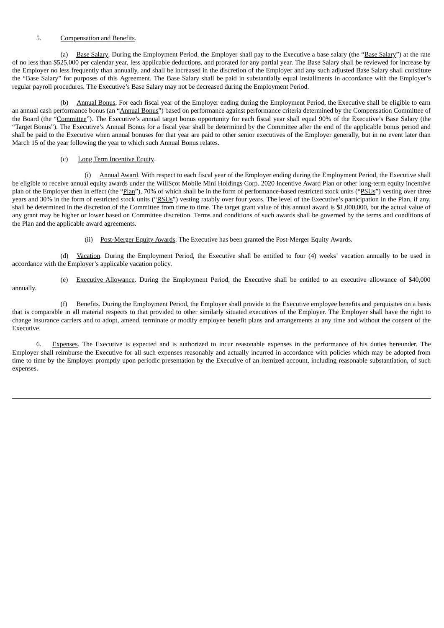# 5. Compensation and Benefits.

(a) Base Salary. During the Employment Period, the Employer shall pay to the Executive a base salary (the "Base Salary") at the rate of no less than \$525,000 per calendar year, less applicable deductions, and prorated for any partial year. The Base Salary shall be reviewed for increase by the Employer no less frequently than annually, and shall be increased in the discretion of the Employer and any such adjusted Base Salary shall constitute the "Base Salary" for purposes of this Agreement. The Base Salary shall be paid in substantially equal installments in accordance with the Employer's regular payroll procedures. The Executive's Base Salary may not be decreased during the Employment Period.

(b) Annual Bonus. For each fiscal year of the Employer ending during the Employment Period, the Executive shall be eligible to earn an annual cash performance bonus (an "Annual Bonus") based on performance against performance criteria determined by the Compensation Committee of the Board (the "Committee"). The Executive's annual target bonus opportunity for each fiscal year shall equal 90% of the Executive's Base Salary (the "Target Bonus"). The Executive's Annual Bonus for a fiscal year shall be determined by the Committee after the end of the applicable bonus period and shall be paid to the Executive when annual bonuses for that year are paid to other senior executives of the Employer generally, but in no event later than March 15 of the year following the year to which such Annual Bonus relates.

# (c) Long Term Incentive Equity.

annually.

(i) Annual Award. With respect to each fiscal year of the Employer ending during the Employment Period, the Executive shall be eligible to receive annual equity awards under the WillScot Mobile Mini Holdings Corp. 2020 Incentive Award Plan or other long-term equity incentive plan of the Employer then in effect (the "Plan"), 70% of which shall be in the form of performance-based restricted stock units ("PSUs") vesting over three years and 30% in the form of restricted stock units ("RSUs") vesting ratably over four years. The level of the Executive's participation in the Plan, if any, shall be determined in the discretion of the Committee from time to time. The target grant value of this annual award is \$1,000,000, but the actual value of any grant may be higher or lower based on Committee discretion. Terms and conditions of such awards shall be governed by the terms and conditions of the Plan and the applicable award agreements.

(ii) Post-Merger Equity Awards. The Executive has been granted the Post-Merger Equity Awards.

(d) Vacation. During the Employment Period, the Executive shall be entitled to four (4) weeks' vacation annually to be used in accordance with the Employer's applicable vacation policy.

(e) Executive Allowance. During the Employment Period, the Executive shall be entitled to an executive allowance of \$40,000

(f) Benefits. During the Employment Period, the Employer shall provide to the Executive employee benefits and perquisites on a basis that is comparable in all material respects to that provided to other similarly situated executives of the Employer. The Employer shall have the right to change insurance carriers and to adopt, amend, terminate or modify employee benefit plans and arrangements at any time and without the consent of the Executive.

6. Expenses. The Executive is expected and is authorized to incur reasonable expenses in the performance of his duties hereunder. The Employer shall reimburse the Executive for all such expenses reasonably and actually incurred in accordance with policies which may be adopted from time to time by the Employer promptly upon periodic presentation by the Executive of an itemized account, including reasonable substantiation, of such expenses.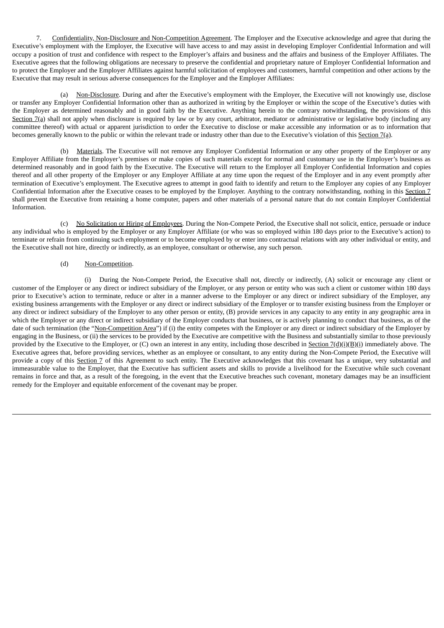7. Confidentiality, Non-Disclosure and Non-Competition Agreement. The Employer and the Executive acknowledge and agree that during the Executive's employment with the Employer, the Executive will have access to and may assist in developing Employer Confidential Information and will occupy a position of trust and confidence with respect to the Employer's affairs and business and the affairs and business of the Employer Affiliates. The Executive agrees that the following obligations are necessary to preserve the confidential and proprietary nature of Employer Confidential Information and to protect the Employer and the Employer Affiliates against harmful solicitation of employees and customers, harmful competition and other actions by the Executive that may result in serious adverse consequences for the Employer and the Employer Affiliates:

(a) Non-Disclosure. During and after the Executive's employment with the Employer, the Executive will not knowingly use, disclose or transfer any Employer Confidential Information other than as authorized in writing by the Employer or within the scope of the Executive's duties with the Employer as determined reasonably and in good faith by the Executive. Anything herein to the contrary notwithstanding, the provisions of this Section 7(a) shall not apply when disclosure is required by law or by any court, arbitrator, mediator or administrative or legislative body (including any committee thereof) with actual or apparent jurisdiction to order the Executive to disclose or make accessible any information or as to information that becomes generally known to the public or within the relevant trade or industry other than due to the Executive's violation of this Section 7(a).

(b) Materials. The Executive will not remove any Employer Confidential Information or any other property of the Employer or any Employer Affiliate from the Employer's premises or make copies of such materials except for normal and customary use in the Employer's business as determined reasonably and in good faith by the Executive. The Executive will return to the Employer all Employer Confidential Information and copies thereof and all other property of the Employer or any Employer Affiliate at any time upon the request of the Employer and in any event promptly after termination of Executive's employment. The Executive agrees to attempt in good faith to identify and return to the Employer any copies of any Employer Confidential Information after the Executive ceases to be employed by the Employer. Anything to the contrary notwithstanding, nothing in this Section 7 shall prevent the Executive from retaining a home computer, papers and other materials of a personal nature that do not contain Employer Confidential Information.

(c) No Solicitation or Hiring of Employees. During the Non-Compete Period, the Executive shall not solicit, entice, persuade or induce any individual who is employed by the Employer or any Employer Affiliate (or who was so employed within 180 days prior to the Executive's action) to terminate or refrain from continuing such employment or to become employed by or enter into contractual relations with any other individual or entity, and the Executive shall not hire, directly or indirectly, as an employee, consultant or otherwise, any such person.

# (d) Non-Competition.

(i) During the Non-Compete Period, the Executive shall not, directly or indirectly, (A) solicit or encourage any client or customer of the Employer or any direct or indirect subsidiary of the Employer, or any person or entity who was such a client or customer within 180 days prior to Executive's action to terminate, reduce or alter in a manner adverse to the Employer or any direct or indirect subsidiary of the Employer, any existing business arrangements with the Employer or any direct or indirect subsidiary of the Employer or to transfer existing business from the Employer or any direct or indirect subsidiary of the Employer to any other person or entity, (B) provide services in any capacity to any entity in any geographic area in which the Employer or any direct or indirect subsidiary of the Employer conducts that business, or is actively planning to conduct that business, as of the date of such termination (the "Non-Competition Area") if (i) the entity competes with the Employer or any direct or indirect subsidiary of the Employer by engaging in the Business, or (ii) the services to be provided by the Executive are competitive with the Business and substantially similar to those previously provided by the Executive to the Employer, or  $(C)$  own an interest in any entity, including those described in **Section 7(d)(i)(B)(i)** immediately above. The Executive agrees that, before providing services, whether as an employee or consultant, to any entity during the Non-Compete Period, the Executive will provide a copy of this Section 7 of this Agreement to such entity. The Executive acknowledges that this covenant has a unique, very substantial and immeasurable value to the Employer, that the Executive has sufficient assets and skills to provide a livelihood for the Executive while such covenant remains in force and that, as a result of the foregoing, in the event that the Executive breaches such covenant, monetary damages may be an insufficient remedy for the Employer and equitable enforcement of the covenant may be proper.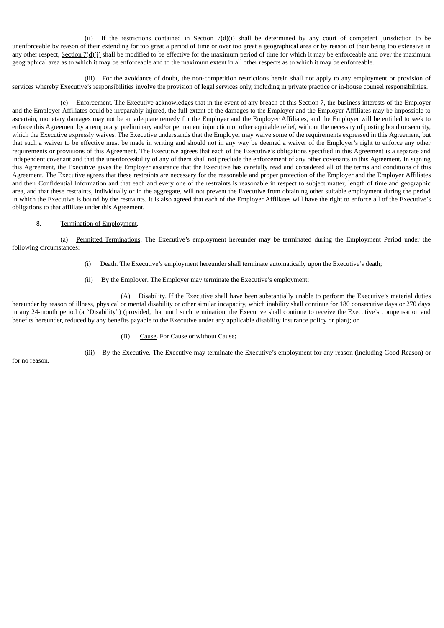(ii) If the restrictions contained in Section  $7(d)(i)$  shall be determined by any court of competent jurisdiction to be unenforceable by reason of their extending for too great a period of time or over too great a geographical area or by reason of their being too extensive in any other respect, Section 7(d)(i) shall be modified to be effective for the maximum period of time for which it may be enforceable and over the maximum geographical area as to which it may be enforceable and to the maximum extent in all other respects as to which it may be enforceable.

(iii) For the avoidance of doubt, the non-competition restrictions herein shall not apply to any employment or provision of services whereby Executive's responsibilities involve the provision of legal services only, including in private practice or in-house counsel responsibilities.

(e) Enforcement. The Executive acknowledges that in the event of any breach of this Section 7, the business interests of the Employer and the Employer Affiliates could be irreparably injured, the full extent of the damages to the Employer and the Employer Affiliates may be impossible to ascertain, monetary damages may not be an adequate remedy for the Employer and the Employer Affiliates, and the Employer will be entitled to seek to enforce this Agreement by a temporary, preliminary and/or permanent injunction or other equitable relief, without the necessity of posting bond or security, which the Executive expressly waives. The Executive understands that the Employer may waive some of the requirements expressed in this Agreement, but that such a waiver to be effective must be made in writing and should not in any way be deemed a waiver of the Employer's right to enforce any other requirements or provisions of this Agreement. The Executive agrees that each of the Executive's obligations specified in this Agreement is a separate and independent covenant and that the unenforceability of any of them shall not preclude the enforcement of any other covenants in this Agreement. In signing this Agreement, the Executive gives the Employer assurance that the Executive has carefully read and considered all of the terms and conditions of this Agreement. The Executive agrees that these restraints are necessary for the reasonable and proper protection of the Employer and the Employer Affiliates and their Confidential Information and that each and every one of the restraints is reasonable in respect to subject matter, length of time and geographic area, and that these restraints, individually or in the aggregate, will not prevent the Executive from obtaining other suitable employment during the period in which the Executive is bound by the restraints. It is also agreed that each of the Employer Affiliates will have the right to enforce all of the Executive's obligations to that affiliate under this Agreement.

# 8. Termination of Employment.

(a) Permitted Terminations. The Executive's employment hereunder may be terminated during the Employment Period under the following circumstances:

- (i) Death. The Executive's employment hereunder shall terminate automatically upon the Executive's death;
- (ii) By the Employer. The Employer may terminate the Executive's employment:

(A) Disability. If the Executive shall have been substantially unable to perform the Executive's material duties hereunder by reason of illness, physical or mental disability or other similar incapacity, which inability shall continue for 180 consecutive days or 270 days in any 24-month period (a "Disability") (provided, that until such termination, the Executive shall continue to receive the Executive's compensation and benefits hereunder, reduced by any benefits payable to the Executive under any applicable disability insurance policy or plan); or

(B) Cause. For Cause or without Cause;

for no reason.

(iii) By the Executive. The Executive may terminate the Executive's employment for any reason (including Good Reason) or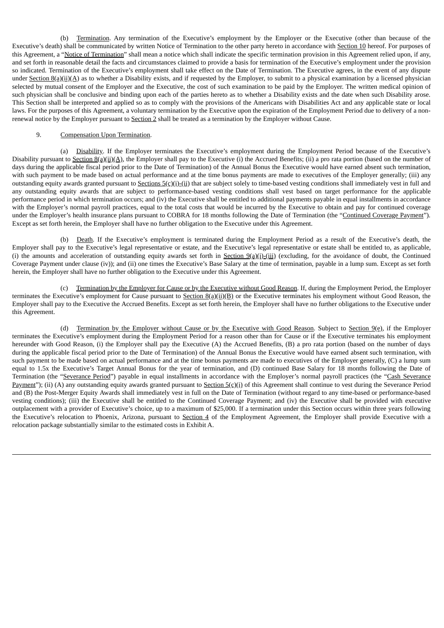(b) Termination. Any termination of the Executive's employment by the Employer or the Executive (other than because of the Executive's death) shall be communicated by written Notice of Termination to the other party hereto in accordance with Section 10 hereof. For purposes of this Agreement, a "Notice of Termination" shall mean a notice which shall indicate the specific termination provision in this Agreement relied upon, if any, and set forth in reasonable detail the facts and circumstances claimed to provide a basis for termination of the Executive's employment under the provision so indicated. Termination of the Executive's employment shall take effect on the Date of Termination. The Executive agrees, in the event of any dispute under  $Section 8(a)(ii)(A)$  as to whether a Disability exists, and if requested by the Employer, to submit to a physical examination by a licensed physician selected by mutual consent of the Employer and the Executive, the cost of such examination to be paid by the Employer. The written medical opinion of such physician shall be conclusive and binding upon each of the parties hereto as to whether a Disability exists and the date when such Disability arose. This Section shall be interpreted and applied so as to comply with the provisions of the Americans with Disabilities Act and any applicable state or local laws. For the purposes of this Agreement, a voluntary termination by the Executive upon the expiration of the Employment Period due to delivery of a nonrenewal notice by the Employer pursuant to Section 2 shall be treated as a termination by the Employer without Cause.

# 9. Compensation Upon Termination.

(a) Disability. If the Employer terminates the Executive's employment during the Employment Period because of the Executive's Disability pursuant to Section 8(a)(ii)(A), the Employer shall pay to the Executive (i) the Accrued Benefits; (ii) a pro rata portion (based on the number of days during the applicable fiscal period prior to the Date of Termination) of the Annual Bonus the Executive would have earned absent such termination, with such payment to be made based on actual performance and at the time bonus payments are made to executives of the Employer generally; (iii) any outstanding equity awards granted pursuant to Sections 5(c)(i)-(ii) that are subject solely to time-based vesting conditions shall immediately vest in full and any outstanding equity awards that are subject to performance-based vesting conditions shall vest based on target performance for the applicable performance period in which termination occurs; and (iv) the Executive shall be entitled to additional payments payable in equal installments in accordance with the Employer's normal payroll practices, equal to the total costs that would be incurred by the Executive to obtain and pay for continued coverage under the Employer's health insurance plans pursuant to COBRA for 18 months following the Date of Termination (the "Continued Coverage Payment"). Except as set forth herein, the Employer shall have no further obligation to the Executive under this Agreement.

(b) Death. If the Executive's employment is terminated during the Employment Period as a result of the Executive's death, the Employer shall pay to the Executive's legal representative or estate, and the Executive's legal representative or estate shall be entitled to, as applicable, (i) the amounts and acceleration of outstanding equity awards set forth in Section  $9(a)(i)$ -(iii) (excluding, for the avoidance of doubt, the Continued Coverage Payment under clause (iv)); and (ii) one times the Executive's Base Salary at the time of termination, payable in a lump sum. Except as set forth herein, the Employer shall have no further obligation to the Executive under this Agreement.

(c) Termination by the Employer for Cause or by the Executive without Good Reason. If, during the Employment Period, the Employer terminates the Executive's employment for Cause pursuant to Section  $B(a)(ii)(B)$  or the Executive terminates his employment without Good Reason, the Employer shall pay to the Executive the Accrued Benefits. Except as set forth herein, the Employer shall have no further obligations to the Executive under this Agreement.

(d) Termination by the Employer without Cause or by the Executive with Good Reason. Subject to Section  $9(e)$ , if the Employer terminates the Executive's employment during the Employment Period for a reason other than for Cause or if the Executive terminates his employment hereunder with Good Reason, (i) the Employer shall pay the Executive (A) the Accrued Benefits, (B) a pro rata portion (based on the number of days during the applicable fiscal period prior to the Date of Termination) of the Annual Bonus the Executive would have earned absent such termination, with such payment to be made based on actual performance and at the time bonus payments are made to executives of the Employer generally, (C) a lump sum equal to 1.5x the Executive's Target Annual Bonus for the year of termination, and (D) continued Base Salary for 18 months following the Date of Termination (the "Severance Period") payable in equal installments in accordance with the Employer's normal payroll practices (the "Cash Severance Payment"); (ii) (A) any outstanding equity awards granted pursuant to Section  $5(\zeta)(i)$  of this Agreement shall continue to vest during the Severance Period and (B) the Post-Merger Equity Awards shall immediately vest in full on the Date of Termination (without regard to any time-based or performance-based vesting conditions); (iii) the Executive shall be entitled to the Continued Coverage Payment; and (iv) the Executive shall be provided with executive outplacement with a provider of Executive's choice, up to a maximum of \$25,000. If a termination under this Section occurs within three years following the Executive's relocation to Phoenix, Arizona, pursuant to Section 4 of the Employment Agreement, the Employer shall provide Executive with a relocation package substantially similar to the estimated costs in Exhibit A.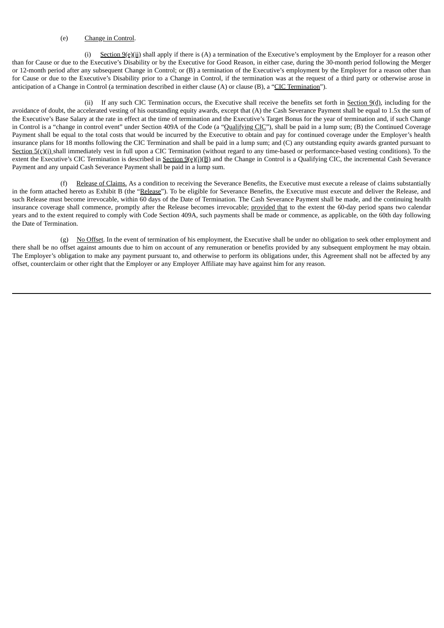### (e) Change in Control.

(i) Section 9(e)(ii) shall apply if there is (A) a termination of the Executive's employment by the Employer for a reason other than for Cause or due to the Executive's Disability or by the Executive for Good Reason, in either case, during the 30-month period following the Merger or 12-month period after any subsequent Change in Control; or (B) a termination of the Executive's employment by the Employer for a reason other than for Cause or due to the Executive's Disability prior to a Change in Control, if the termination was at the request of a third party or otherwise arose in anticipation of a Change in Control (a termination described in either clause (A) or clause (B), a "CIC Termination").

(ii) If any such CIC Termination occurs, the Executive shall receive the benefits set forth in Section 9(d), including for the avoidance of doubt, the accelerated vesting of his outstanding equity awards, except that (A) the Cash Severance Payment shall be equal to 1.5x the sum of the Executive's Base Salary at the rate in effect at the time of termination and the Executive's Target Bonus for the year of termination and, if such Change in Control is a "change in control event" under Section 409A of the Code (a "Qualifying CIC"), shall be paid in a lump sum; (B) the Continued Coverage Payment shall be equal to the total costs that would be incurred by the Executive to obtain and pay for continued coverage under the Employer's health insurance plans for 18 months following the CIC Termination and shall be paid in a lump sum; and (C) any outstanding equity awards granted pursuant to Section  $5(c)(i)$  shall immediately vest in full upon a CIC Termination (without regard to any time-based or performance-based vesting conditions). To the extent the Executive's CIC Termination is described in Section  $9(e)(i)(B)$  and the Change in Control is a Qualifying CIC, the incremental Cash Severance Payment and any unpaid Cash Severance Payment shall be paid in a lump sum.

(f) Release of Claims. As a condition to receiving the Severance Benefits, the Executive must execute a release of claims substantially in the form attached hereto as Exhibit B (the "Release"). To be eligible for Severance Benefits, the Executive must execute and deliver the Release, and such Release must become irrevocable, within 60 days of the Date of Termination. The Cash Severance Payment shall be made, and the continuing health insurance coverage shall commence, promptly after the Release becomes irrevocable; provided that to the extent the 60-day period spans two calendar years and to the extent required to comply with Code Section 409A, such payments shall be made or commence, as applicable, on the 60th day following the Date of Termination.

(g) No Offset. In the event of termination of his employment, the Executive shall be under no obligation to seek other employment and there shall be no offset against amounts due to him on account of any remuneration or benefits provided by any subsequent employment he may obtain. The Employer's obligation to make any payment pursuant to, and otherwise to perform its obligations under, this Agreement shall not be affected by any offset, counterclaim or other right that the Employer or any Employer Affiliate may have against him for any reason.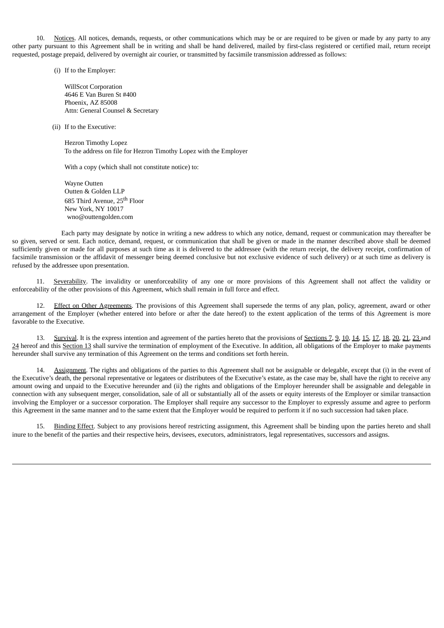10. Notices. All notices, demands, requests, or other communications which may be or are required to be given or made by any party to any other party pursuant to this Agreement shall be in writing and shall be hand delivered, mailed by first-class registered or certified mail, return receipt requested, postage prepaid, delivered by overnight air courier, or transmitted by facsimile transmission addressed as follows:

(i) If to the Employer:

WillScot Corporation 4646 E Van Buren St #400 Phoenix, AZ 85008 Attn: General Counsel & Secretary

(ii) If to the Executive:

Hezron Timothy Lopez To the address on file for Hezron Timothy Lopez with the Employer

With a copy (which shall not constitute notice) to:

Wayne Outten Outten & Golden LLP 685 Third Avenue, 25<sup>th</sup> Floor New York, NY 10017 wno@outtengolden.com

Each party may designate by notice in writing a new address to which any notice, demand, request or communication may thereafter be so given, served or sent. Each notice, demand, request, or communication that shall be given or made in the manner described above shall be deemed sufficiently given or made for all purposes at such time as it is delivered to the addressee (with the return receipt, the delivery receipt, confirmation of facsimile transmission or the affidavit of messenger being deemed conclusive but not exclusive evidence of such delivery) or at such time as delivery is refused by the addressee upon presentation.

11. Severability. The invalidity or unenforceability of any one or more provisions of this Agreement shall not affect the validity or enforceability of the other provisions of this Agreement, which shall remain in full force and effect.

12. Effect on Other Agreements. The provisions of this Agreement shall supersede the terms of any plan, policy, agreement, award or other arrangement of the Employer (whether entered into before or after the date hereof) to the extent application of the terms of this Agreement is more favorable to the Executive.

13. Survival. It is the express intention and agreement of the parties hereto that the provisions of Sections 7, 9, 10, 14, 15, 17, 18, 20, 21, 23 and 24 hereof and this Section 13 shall survive the termination of employment of the Executive. In addition, all obligations of the Employer to make payments hereunder shall survive any termination of this Agreement on the terms and conditions set forth herein.

14. Assignment. The rights and obligations of the parties to this Agreement shall not be assignable or delegable, except that (i) in the event of the Executive's death, the personal representative or legatees or distributees of the Executive's estate, as the case may be, shall have the right to receive any amount owing and unpaid to the Executive hereunder and (ii) the rights and obligations of the Employer hereunder shall be assignable and delegable in connection with any subsequent merger, consolidation, sale of all or substantially all of the assets or equity interests of the Employer or similar transaction involving the Employer or a successor corporation. The Employer shall require any successor to the Employer to expressly assume and agree to perform this Agreement in the same manner and to the same extent that the Employer would be required to perform it if no such succession had taken place.

15. Binding Effect. Subject to any provisions hereof restricting assignment, this Agreement shall be binding upon the parties hereto and shall inure to the benefit of the parties and their respective heirs, devisees, executors, administrators, legal representatives, successors and assigns.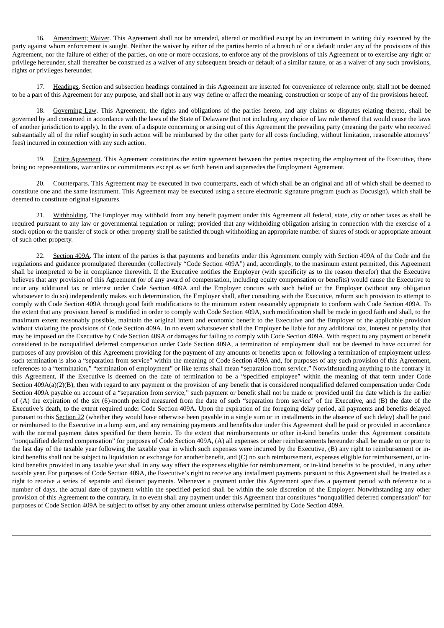16. Amendment; Waiver. This Agreement shall not be amended, altered or modified except by an instrument in writing duly executed by the party against whom enforcement is sought. Neither the waiver by either of the parties hereto of a breach of or a default under any of the provisions of this Agreement, nor the failure of either of the parties, on one or more occasions, to enforce any of the provisions of this Agreement or to exercise any right or privilege hereunder, shall thereafter be construed as a waiver of any subsequent breach or default of a similar nature, or as a waiver of any such provisions, rights or privileges hereunder.

17. Headings. Section and subsection headings contained in this Agreement are inserted for convenience of reference only, shall not be deemed to be a part of this Agreement for any purpose, and shall not in any way define or affect the meaning, construction or scope of any of the provisions hereof.

18. Governing Law. This Agreement, the rights and obligations of the parties hereto, and any claims or disputes relating thereto, shall be governed by and construed in accordance with the laws of the State of Delaware (but not including any choice of law rule thereof that would cause the laws of another jurisdiction to apply). In the event of a dispute concerning or arising out of this Agreement the prevailing party (meaning the party who received substantially all of the relief sought) in such action will be reimbursed by the other party for all costs (including, without limitation, reasonable attorneys' fees) incurred in connection with any such action.

19. Entire Agreement. This Agreement constitutes the entire agreement between the parties respecting the employment of the Executive, there being no representations, warranties or commitments except as set forth herein and supersedes the Employment Agreement.

20. Counterparts. This Agreement may be executed in two counterparts, each of which shall be an original and all of which shall be deemed to constitute one and the same instrument. This Agreement may be executed using a secure electronic signature program (such as Docusign), which shall be deemed to constitute original signatures.

21. Withholding. The Employer may withhold from any benefit payment under this Agreement all federal, state, city or other taxes as shall be required pursuant to any law or governmental regulation or ruling; provided that any withholding obligation arising in connection with the exercise of a stock option or the transfer of stock or other property shall be satisfied through withholding an appropriate number of shares of stock or appropriate amount of such other property.

22. Section 409A. The intent of the parties is that payments and benefits under this Agreement comply with Section 409A of the Code and the regulations and guidance promulgated thereunder (collectively "Code Section 409A") and, accordingly, to the maximum extent permitted, this Agreement shall be interpreted to be in compliance therewith. If the Executive notifies the Employer (with specificity as to the reason therefor) that the Executive believes that any provision of this Agreement (or of any award of compensation, including equity compensation or benefits) would cause the Executive to incur any additional tax or interest under Code Section 409A and the Employer concurs with such belief or the Employer (without any obligation whatsoever to do so) independently makes such determination, the Employer shall, after consulting with the Executive, reform such provision to attempt to comply with Code Section 409A through good faith modifications to the minimum extent reasonably appropriate to conform with Code Section 409A. To the extent that any provision hereof is modified in order to comply with Code Section 409A, such modification shall be made in good faith and shall, to the maximum extent reasonably possible, maintain the original intent and economic benefit to the Executive and the Employer of the applicable provision without violating the provisions of Code Section 409A. In no event whatsoever shall the Employer be liable for any additional tax, interest or penalty that may be imposed on the Executive by Code Section 409A or damages for failing to comply with Code Section 409A. With respect to any payment or benefit considered to be nonqualified deferred compensation under Code Section 409A, a termination of employment shall not be deemed to have occurred for purposes of any provision of this Agreement providing for the payment of any amounts or benefits upon or following a termination of employment unless such termination is also a "separation from service" within the meaning of Code Section 409A and, for purposes of any such provision of this Agreement, references to a "termination," "termination of employment" or like terms shall mean "separation from service." Notwithstanding anything to the contrary in this Agreement, if the Executive is deemed on the date of termination to be a "specified employee" within the meaning of that term under Code Section 409A(a)(2)(B), then with regard to any payment or the provision of any benefit that is considered nonqualified deferred compensation under Code Section 409A payable on account of a "separation from service," such payment or benefit shall not be made or provided until the date which is the earlier of (A) the expiration of the six (6)-month period measured from the date of such "separation from service" of the Executive, and (B) the date of the Executive's death, to the extent required under Code Section 409A. Upon the expiration of the foregoing delay period, all payments and benefits delayed pursuant to this Section 22 (whether they would have otherwise been payable in a single sum or in installments in the absence of such delay) shall be paid or reimbursed to the Executive in a lump sum, and any remaining payments and benefits due under this Agreement shall be paid or provided in accordance with the normal payment dates specified for them herein. To the extent that reimbursements or other in-kind benefits under this Agreement constitute "nonqualified deferred compensation" for purposes of Code Section 409A, (A) all expenses or other reimbursements hereunder shall be made on or prior to the last day of the taxable year following the taxable year in which such expenses were incurred by the Executive, (B) any right to reimbursement or inkind benefits shall not be subject to liquidation or exchange for another benefit, and (C) no such reimbursement, expenses eligible for reimbursement, or inkind benefits provided in any taxable year shall in any way affect the expenses eligible for reimbursement, or in-kind benefits to be provided, in any other taxable year. For purposes of Code Section 409A, the Executive's right to receive any installment payments pursuant to this Agreement shall be treated as a right to receive a series of separate and distinct payments. Whenever a payment under this Agreement specifies a payment period with reference to a number of days, the actual date of payment within the specified period shall be within the sole discretion of the Employer. Notwithstanding any other provision of this Agreement to the contrary, in no event shall any payment under this Agreement that constitutes "nonqualified deferred compensation" for purposes of Code Section 409A be subject to offset by any other amount unless otherwise permitted by Code Section 409A.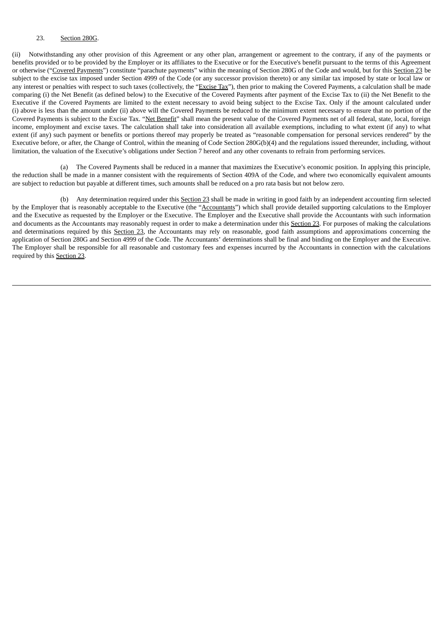### 23. Section 280G.

(ii) Notwithstanding any other provision of this Agreement or any other plan, arrangement or agreement to the contrary, if any of the payments or benefits provided or to be provided by the Employer or its affiliates to the Executive or for the Executive's benefit pursuant to the terms of this Agreement or otherwise ("Covered Payments") constitute "parachute payments" within the meaning of Section 280G of the Code and would, but for this Section 23 be subject to the excise tax imposed under Section 4999 of the Code (or any successor provision thereto) or any similar tax imposed by state or local law or any interest or penalties with respect to such taxes (collectively, the "Excise Tax"), then prior to making the Covered Payments, a calculation shall be made comparing (i) the Net Benefit (as defined below) to the Executive of the Covered Payments after payment of the Excise Tax to (ii) the Net Benefit to the Executive if the Covered Payments are limited to the extent necessary to avoid being subject to the Excise Tax. Only if the amount calculated under (i) above is less than the amount under (ii) above will the Covered Payments be reduced to the minimum extent necessary to ensure that no portion of the Covered Payments is subject to the Excise Tax. "Net Benefit" shall mean the present value of the Covered Payments net of all federal, state, local, foreign income, employment and excise taxes. The calculation shall take into consideration all available exemptions, including to what extent (if any) to what extent (if any) such payment or benefits or portions thereof may properly be treated as "reasonable compensation for personal services rendered" by the Executive before, or after, the Change of Control, within the meaning of Code Section 280G(b)(4) and the regulations issued thereunder, including, without limitation, the valuation of the Executive's obligations under Section 7 hereof and any other covenants to refrain from performing services.

(a) The Covered Payments shall be reduced in a manner that maximizes the Executive's economic position. In applying this principle, the reduction shall be made in a manner consistent with the requirements of Section 409A of the Code, and where two economically equivalent amounts are subject to reduction but payable at different times, such amounts shall be reduced on a pro rata basis but not below zero.

(b) Any determination required under this Section 23 shall be made in writing in good faith by an independent accounting firm selected by the Employer that is reasonably acceptable to the Executive (the "Accountants") which shall provide detailed supporting calculations to the Employer and the Executive as requested by the Employer or the Executive. The Employer and the Executive shall provide the Accountants with such information and documents as the Accountants may reasonably request in order to make a determination under this Section 23. For purposes of making the calculations and determinations required by this Section 23, the Accountants may rely on reasonable, good faith assumptions and approximations concerning the application of Section 280G and Section 4999 of the Code. The Accountants' determinations shall be final and binding on the Employer and the Executive. The Employer shall be responsible for all reasonable and customary fees and expenses incurred by the Accountants in connection with the calculations required by this Section 23.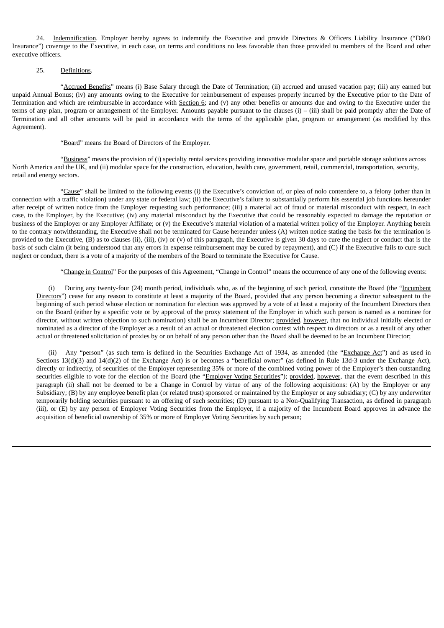24. Indemnification. Employer hereby agrees to indemnify the Executive and provide Directors & Officers Liability Insurance ("D&O Insurance") coverage to the Executive, in each case, on terms and conditions no less favorable than those provided to members of the Board and other executive officers.

# 25. Definitions.

"Accrued Benefits" means (i) Base Salary through the Date of Termination; (ii) accrued and unused vacation pay; (iii) any earned but unpaid Annual Bonus; (iv) any amounts owing to the Executive for reimbursement of expenses properly incurred by the Executive prior to the Date of Termination and which are reimbursable in accordance with Section 6; and (v) any other benefits or amounts due and owing to the Executive under the terms of any plan, program or arrangement of the Employer. Amounts payable pursuant to the clauses (i) – (iii) shall be paid promptly after the Date of Termination and all other amounts will be paid in accordance with the terms of the applicable plan, program or arrangement (as modified by this Agreement).

#### "Board" means the Board of Directors of the Employer.

"Business" means the provision of (i) specialty rental services providing innovative modular space and portable storage solutions across North America and the UK, and (ii) modular space for the construction, education, health care, government, retail, commercial, transportation, security, retail and energy sectors.

"Cause" shall be limited to the following events (i) the Executive's conviction of, or plea of nolo contendere to, a felony (other than in connection with a traffic violation) under any state or federal law; (ii) the Executive's failure to substantially perform his essential job functions hereunder after receipt of written notice from the Employer requesting such performance; (iii) a material act of fraud or material misconduct with respect, in each case, to the Employer, by the Executive; (iv) any material misconduct by the Executive that could be reasonably expected to damage the reputation or business of the Employer or any Employer Affiliate; or (v) the Executive's material violation of a material written policy of the Employer. Anything herein to the contrary notwithstanding, the Executive shall not be terminated for Cause hereunder unless (A) written notice stating the basis for the termination is provided to the Executive, (B) as to clauses (ii), (iii), (iv) or (v) of this paragraph, the Executive is given 30 days to cure the neglect or conduct that is the basis of such claim (it being understood that any errors in expense reimbursement may be cured by repayment), and (C) if the Executive fails to cure such neglect or conduct, there is a vote of a majority of the members of the Board to terminate the Executive for Cause.

"Change in Control" For the purposes of this Agreement, "Change in Control" means the occurrence of any one of the following events:

(i) During any twenty-four (24) month period, individuals who, as of the beginning of such period, constitute the Board (the "Incumbent Directors") cease for any reason to constitute at least a majority of the Board, provided that any person becoming a director subsequent to the beginning of such period whose election or nomination for election was approved by a vote of at least a majority of the Incumbent Directors then on the Board (either by a specific vote or by approval of the proxy statement of the Employer in which such person is named as a nominee for director, without written objection to such nomination) shall be an Incumbent Director; provided, however, that no individual initially elected or nominated as a director of the Employer as a result of an actual or threatened election contest with respect to directors or as a result of any other actual or threatened solicitation of proxies by or on behalf of any person other than the Board shall be deemed to be an Incumbent Director;

(ii) Any "person" (as such term is defined in the Securities Exchange Act of 1934, as amended (the "Exchange Act") and as used in Sections 13(d)(3) and 14(d)(2) of the Exchange Act) is or becomes a "beneficial owner" (as defined in Rule 13d-3 under the Exchange Act), directly or indirectly, of securities of the Employer representing 35% or more of the combined voting power of the Employer's then outstanding securities eligible to vote for the election of the Board (the "Employer Voting Securities"); provided, however, that the event described in this paragraph (ii) shall not be deemed to be a Change in Control by virtue of any of the following acquisitions: (A) by the Employer or any Subsidiary; (B) by any employee benefit plan (or related trust) sponsored or maintained by the Employer or any subsidiary; (C) by any underwriter temporarily holding securities pursuant to an offering of such securities; (D) pursuant to a Non-Qualifying Transaction, as defined in paragraph (iii), or (E) by any person of Employer Voting Securities from the Employer, if a majority of the Incumbent Board approves in advance the acquisition of beneficial ownership of 35% or more of Employer Voting Securities by such person;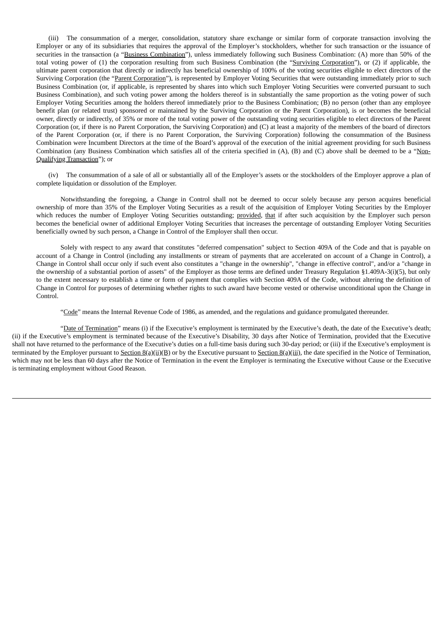(iii) The consummation of a merger, consolidation, statutory share exchange or similar form of corporate transaction involving the Employer or any of its subsidiaries that requires the approval of the Employer's stockholders, whether for such transaction or the issuance of securities in the transaction (a "Business Combination"), unless immediately following such Business Combination: (A) more than 50% of the total voting power of (1) the corporation resulting from such Business Combination (the "Surviving Corporation"), or (2) if applicable, the ultimate parent corporation that directly or indirectly has beneficial ownership of 100% of the voting securities eligible to elect directors of the Surviving Corporation (the "Parent Corporation"), is represented by Employer Voting Securities that were outstanding immediately prior to such Business Combination (or, if applicable, is represented by shares into which such Employer Voting Securities were converted pursuant to such Business Combination), and such voting power among the holders thereof is in substantially the same proportion as the voting power of such Employer Voting Securities among the holders thereof immediately prior to the Business Combination; (B) no person (other than any employee benefit plan (or related trust) sponsored or maintained by the Surviving Corporation or the Parent Corporation), is or becomes the beneficial owner, directly or indirectly, of 35% or more of the total voting power of the outstanding voting securities eligible to elect directors of the Parent Corporation (or, if there is no Parent Corporation, the Surviving Corporation) and (C) at least a majority of the members of the board of directors of the Parent Corporation (or, if there is no Parent Corporation, the Surviving Corporation) following the consummation of the Business Combination were Incumbent Directors at the time of the Board's approval of the execution of the initial agreement providing for such Business Combination (any Business Combination which satisfies all of the criteria specified in (A), (B) and (C) above shall be deemed to be a "Non**-**Qualifying Transaction"); or

(iv) The consummation of a sale of all or substantially all of the Employer's assets or the stockholders of the Employer approve a plan of complete liquidation or dissolution of the Employer.

Notwithstanding the foregoing, a Change in Control shall not be deemed to occur solely because any person acquires beneficial ownership of more than 35% of the Employer Voting Securities as a result of the acquisition of Employer Voting Securities by the Employer which reduces the number of Employer Voting Securities outstanding; provided, that if after such acquisition by the Employer such person becomes the beneficial owner of additional Employer Voting Securities that increases the percentage of outstanding Employer Voting Securities beneficially owned by such person, a Change in Control of the Employer shall then occur.

Solely with respect to any award that constitutes "deferred compensation" subject to Section 409A of the Code and that is payable on account of a Change in Control (including any installments or stream of payments that are accelerated on account of a Change in Control), a Change in Control shall occur only if such event also constitutes a "change in the ownership", "change in effective control", and/or a "change in the ownership of a substantial portion of assets" of the Employer as those terms are defined under Treasury Regulation §1.409A-3(i)(5), but only to the extent necessary to establish a time or form of payment that complies with Section 409A of the Code, without altering the definition of Change in Control for purposes of determining whether rights to such award have become vested or otherwise unconditional upon the Change in **Control** 

"Code" means the Internal Revenue Code of 1986, as amended, and the regulations and guidance promulgated thereunder.

"Date of Termination" means (i) if the Executive's employment is terminated by the Executive's death, the date of the Executive's death; (ii) if the Executive's employment is terminated because of the Executive's Disability, 30 days after Notice of Termination, provided that the Executive shall not have returned to the performance of the Executive's duties on a full-time basis during such 30-day period; or (iii) if the Executive's employment is terminated by the Employer pursuant to Section  $B(q)$ (ii)(B) or by the Executive pursuant to Section  $B(q)$ (iii), the date specified in the Notice of Termination, which may not be less than 60 days after the Notice of Termination in the event the Employer is terminating the Executive without Cause or the Executive is terminating employment without Good Reason.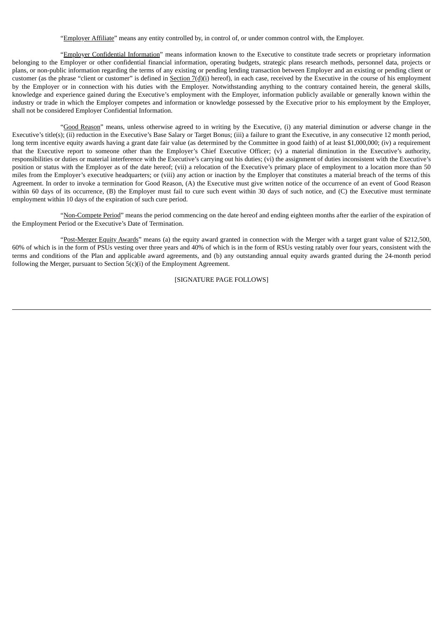"Employer Affiliate" means any entity controlled by, in control of, or under common control with, the Employer.

"Employer Confidential Information" means information known to the Executive to constitute trade secrets or proprietary information belonging to the Employer or other confidential financial information, operating budgets, strategic plans research methods, personnel data, projects or plans, or non-public information regarding the terms of any existing or pending lending transaction between Employer and an existing or pending client or customer (as the phrase "client or customer" is defined in Section  $7(d)(i)$  hereof), in each case, received by the Executive in the course of his employment by the Employer or in connection with his duties with the Employer. Notwithstanding anything to the contrary contained herein, the general skills, knowledge and experience gained during the Executive's employment with the Employer, information publicly available or generally known within the industry or trade in which the Employer competes and information or knowledge possessed by the Executive prior to his employment by the Employer, shall not be considered Employer Confidential Information.

"Good Reason" means, unless otherwise agreed to in writing by the Executive, (i) any material diminution or adverse change in the Executive's title(s); (ii) reduction in the Executive's Base Salary or Target Bonus; (iii) a failure to grant the Executive, in any consecutive 12 month period, long term incentive equity awards having a grant date fair value (as determined by the Committee in good faith) of at least \$1,000,000; (iv) a requirement that the Executive report to someone other than the Employer's Chief Executive Officer; (v) a material diminution in the Executive's authority, responsibilities or duties or material interference with the Executive's carrying out his duties; (vi) the assignment of duties inconsistent with the Executive's position or status with the Employer as of the date hereof; (vii) a relocation of the Executive's primary place of employment to a location more than 50 miles from the Employer's executive headquarters; or (viii) any action or inaction by the Employer that constitutes a material breach of the terms of this Agreement. In order to invoke a termination for Good Reason, (A) the Executive must give written notice of the occurrence of an event of Good Reason within 60 days of its occurrence, (B) the Employer must fail to cure such event within 30 days of such notice, and (C) the Executive must terminate employment within 10 days of the expiration of such cure period.

"Non-Compete Period" means the period commencing on the date hereof and ending eighteen months after the earlier of the expiration of the Employment Period or the Executive's Date of Termination.

"Post-Merger Equity Awards" means (a) the equity award granted in connection with the Merger with a target grant value of \$212,500, 60% of which is in the form of PSUs vesting over three years and 40% of which is in the form of RSUs vesting ratably over four years, consistent with the terms and conditions of the Plan and applicable award agreements, and (b) any outstanding annual equity awards granted during the 24-month period following the Merger, pursuant to Section 5(c)(i) of the Employment Agreement.

[SIGNATURE PAGE FOLLOWS]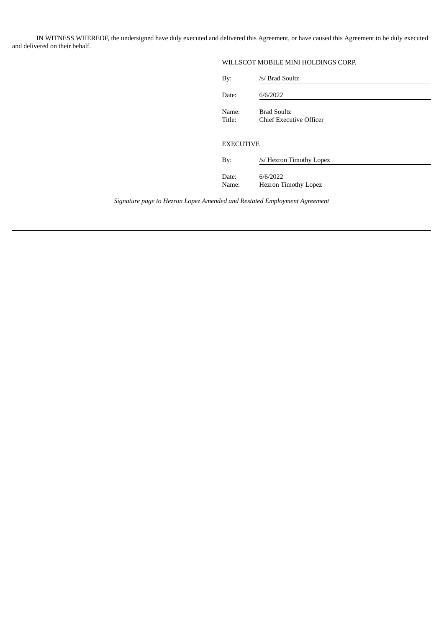IN WITNESS WHEREOF, the undersigned have duly executed and delivered this Agreement, or have caused this Agreement to be duly executed and delivered on their behalf.

# WILLSCOT MOBILE MINI HOLDINGS CORP.

| By:              | /s/ Brad Soultz                               |  |
|------------------|-----------------------------------------------|--|
| Date:            | 6/6/2022                                      |  |
| Name:<br>Title:  | <b>Brad Soultz</b><br>Chief Executive Officer |  |
| <b>EXECUTIVE</b> |                                               |  |
| By:              | /s/ Hezron Timothy Lopez                      |  |
| Date:<br>Name:   | 6/6/2022<br><b>Hezron Timothy Lopez</b>       |  |

*Signature page to Hezron Lopez Amended and Restated Employment Agreement*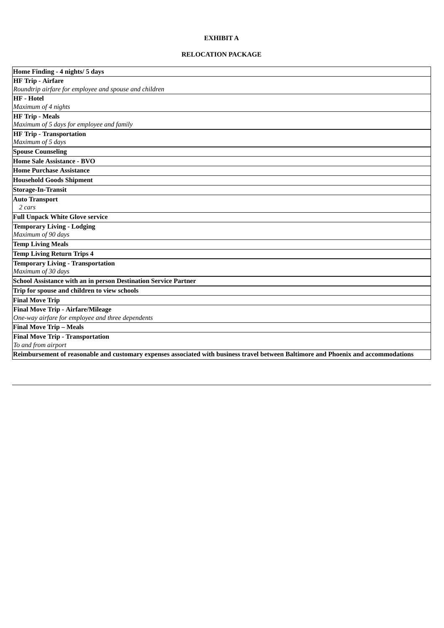# **EXHIBIT A**

# **RELOCATION PACKAGE**

| Home Finding - 4 nights/ 5 days                                                                                                     |  |  |
|-------------------------------------------------------------------------------------------------------------------------------------|--|--|
| <b>HF Trip - Airfare</b>                                                                                                            |  |  |
| Roundtrip airfare for employee and spouse and children                                                                              |  |  |
| <b>HF</b> - Hotel                                                                                                                   |  |  |
| Maximum of 4 nights                                                                                                                 |  |  |
| <b>HF Trip - Meals</b>                                                                                                              |  |  |
| Maximum of 5 days for employee and family                                                                                           |  |  |
| <b>HF Trip - Transportation</b>                                                                                                     |  |  |
| Maximum of 5 days                                                                                                                   |  |  |
| <b>Spouse Counseling</b>                                                                                                            |  |  |
| <b>Home Sale Assistance - BVO</b>                                                                                                   |  |  |
| <b>Home Purchase Assistance</b>                                                                                                     |  |  |
| <b>Household Goods Shipment</b>                                                                                                     |  |  |
| <b>Storage-In-Transit</b>                                                                                                           |  |  |
| <b>Auto Transport</b>                                                                                                               |  |  |
| 2 cars                                                                                                                              |  |  |
| <b>Full Unpack White Glove service</b>                                                                                              |  |  |
| <b>Temporary Living - Lodging</b>                                                                                                   |  |  |
| Maximum of 90 days                                                                                                                  |  |  |
| <b>Temp Living Meals</b>                                                                                                            |  |  |
| <b>Temp Living Return Trips 4</b>                                                                                                   |  |  |
| <b>Temporary Living - Transportation</b>                                                                                            |  |  |
| Maximum of 30 days                                                                                                                  |  |  |
| <b>School Assistance with an in person Destination Service Partner</b>                                                              |  |  |
| Trip for spouse and children to view schools                                                                                        |  |  |
| <b>Final Move Trip</b>                                                                                                              |  |  |
| <b>Final Move Trip - Airfare/Mileage</b>                                                                                            |  |  |
| One-way airfare for employee and three dependents                                                                                   |  |  |
| Final Move Trip - Meals                                                                                                             |  |  |
| <b>Final Move Trip - Transportation</b>                                                                                             |  |  |
| To and from airport                                                                                                                 |  |  |
| Reimbursement of reasonable and customary expenses associated with business travel between Baltimore and Phoenix and accommodations |  |  |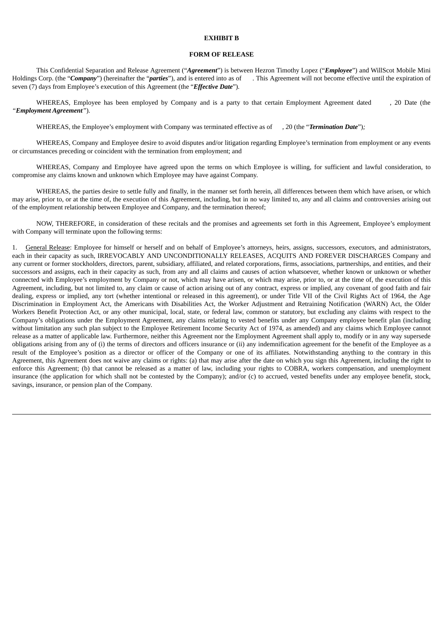### **EXHIBIT B**

#### **FORM OF RELEASE**

This Confidential Separation and Release Agreement ("*Agreement*") is between Hezron Timothy Lopez ("*Employee*") and WillScot Mobile Mini Holdings Corp. (the "*Company*") (hereinafter the "*parties*"), and is entered into as of . This Agreement will not become effective until the expiration of seven (7) days from Employee's execution of this Agreement (the "*Effective Date*")*.*

WHEREAS, Employee has been employed by Company and is a party to that certain Employment Agreement dated , 20 Date (the *"Employment Agreement"*).

WHEREAS, the Employee's employment with Company was terminated effective as of , 20 (the "*Termination Date*")*;*

WHEREAS, Company and Employee desire to avoid disputes and/or litigation regarding Employee's termination from employment or any events or circumstances preceding or coincident with the termination from employment; and

WHEREAS, Company and Employee have agreed upon the terms on which Employee is willing, for sufficient and lawful consideration, to compromise any claims known and unknown which Employee may have against Company.

WHEREAS, the parties desire to settle fully and finally, in the manner set forth herein, all differences between them which have arisen, or which may arise, prior to, or at the time of, the execution of this Agreement, including, but in no way limited to, any and all claims and controversies arising out of the employment relationship between Employee and Company, and the termination thereof;

NOW, THEREFORE, in consideration of these recitals and the promises and agreements set forth in this Agreement, Employee's employment with Company will terminate upon the following terms:

1. General Release: Employee for himself or herself and on behalf of Employee's attorneys, heirs, assigns, successors, executors, and administrators, each in their capacity as such, IRREVOCABLY AND UNCONDITIONALLY RELEASES, ACQUITS AND FOREVER DISCHARGES Company and any current or former stockholders, directors, parent, subsidiary, affiliated, and related corporations, firms, associations, partnerships, and entities, and their successors and assigns, each in their capacity as such, from any and all claims and causes of action whatsoever, whether known or unknown or whether connected with Employee's employment by Company or not, which may have arisen, or which may arise, prior to, or at the time of, the execution of this Agreement, including, but not limited to, any claim or cause of action arising out of any contract, express or implied, any covenant of good faith and fair dealing, express or implied, any tort (whether intentional or released in this agreement), or under Title VII of the Civil Rights Act of 1964, the Age Discrimination in Employment Act, the Americans with Disabilities Act, the Worker Adjustment and Retraining Notification (WARN) Act, the Older Workers Benefit Protection Act, or any other municipal, local, state, or federal law, common or statutory, but excluding any claims with respect to the Company's obligations under the Employment Agreement, any claims relating to vested benefits under any Company employee benefit plan (including without limitation any such plan subject to the Employee Retirement Income Security Act of 1974, as amended) and any claims which Employee cannot release as a matter of applicable law. Furthermore, neither this Agreement nor the Employment Agreement shall apply to, modify or in any way supersede obligations arising from any of (i) the terms of directors and officers insurance or (ii) any indemnification agreement for the benefit of the Employee as a result of the Employee's position as a director or officer of the Company or one of its affiliates. Notwithstanding anything to the contrary in this Agreement, this Agreement does not waive any claims or rights: (a) that may arise after the date on which you sign this Agreement, including the right to enforce this Agreement; (b) that cannot be released as a matter of law, including your rights to COBRA, workers compensation, and unemployment insurance (the application for which shall not be contested by the Company); and/or (c) to accrued, vested benefits under any employee benefit, stock, savings, insurance, or pension plan of the Company.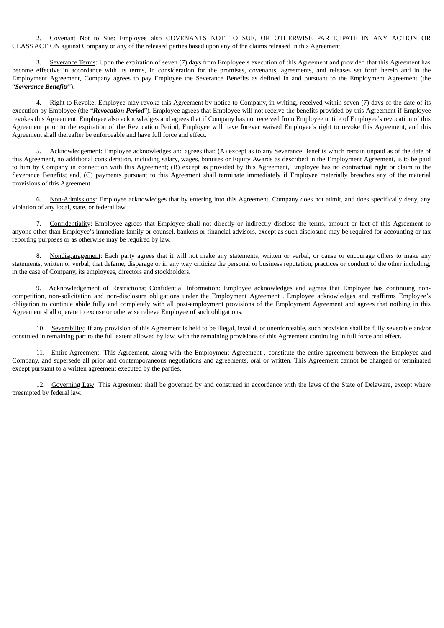2. Covenant Not to Sue: Employee also COVENANTS NOT TO SUE, OR OTHERWISE PARTICIPATE IN ANY ACTION OR CLASS ACTION against Company or any of the released parties based upon any of the claims released in this Agreement.

3. Severance Terms: Upon the expiration of seven (7) days from Employee's execution of this Agreement and provided that this Agreement has become effective in accordance with its terms, in consideration for the promises, covenants, agreements, and releases set forth herein and in the Employment Agreement, Company agrees to pay Employee the Severance Benefits as defined in and pursuant to the Employment Agreement (the "*Severance Benefits*").

4. Right to Revoke: Employee may revoke this Agreement by notice to Company, in writing, received within seven (7) days of the date of its execution by Employee (the "*Revocation Period*")*.* Employee agrees that Employee will not receive the benefits provided by this Agreement if Employee revokes this Agreement. Employee also acknowledges and agrees that if Company has not received from Employee notice of Employee's revocation of this Agreement prior to the expiration of the Revocation Period, Employee will have forever waived Employee's right to revoke this Agreement, and this Agreement shall thereafter be enforceable and have full force and effect.

5. Acknowledgement: Employee acknowledges and agrees that: (A) except as to any Severance Benefits which remain unpaid as of the date of this Agreement, no additional consideration, including salary, wages, bonuses or Equity Awards as described in the Employment Agreement, is to be paid to him by Company in connection with this Agreement; (B) except as provided by this Agreement, Employee has no contractual right or claim to the Severance Benefits; and, (C) payments pursuant to this Agreement shall terminate immediately if Employee materially breaches any of the material provisions of this Agreement.

6. Non-Admissions: Employee acknowledges that by entering into this Agreement, Company does not admit, and does specifically deny, any violation of any local, state, or federal law.

7. Confidentiality: Employee agrees that Employee shall not directly or indirectly disclose the terms, amount or fact of this Agreement to anyone other than Employee's immediate family or counsel, bankers or financial advisors, except as such disclosure may be required for accounting or tax reporting purposes or as otherwise may be required by law.

8. Nondisparagement: Each party agrees that it will not make any statements, written or verbal, or cause or encourage others to make any statements, written or verbal, that defame, disparage or in any way criticize the personal or business reputation, practices or conduct of the other including, in the case of Company, its employees, directors and stockholders.

9. Acknowledgement of Restrictions; Confidential Information: Employee acknowledges and agrees that Employee has continuing noncompetition, non-solicitation and non-disclosure obligations under the Employment Agreement *.* Employee acknowledges and reaffirms Employee's obligation to continue abide fully and completely with all post-employment provisions of the Employment Agreement and agrees that nothing in this Agreement shall operate to excuse or otherwise relieve Employee of such obligations.

10. Severability: If any provision of this Agreement is held to be illegal, invalid, or unenforceable, such provision shall be fully severable and/or construed in remaining part to the full extent allowed by law, with the remaining provisions of this Agreement continuing in full force and effect.

11. Entire Agreement: This Agreement, along with the Employment Agreement , constitute the entire agreement between the Employee and Company, and supersede all prior and contemporaneous negotiations and agreements, oral or written. This Agreement cannot be changed or terminated except pursuant to a written agreement executed by the parties.

12. Governing Law: This Agreement shall be governed by and construed in accordance with the laws of the State of Delaware, except where preempted by federal law.